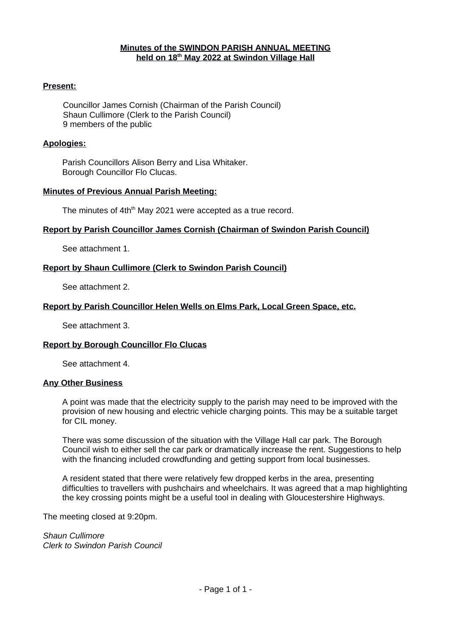#### **Minutes of the SWINDON PARISH ANNUAL MEETING held on 18th May 20 2 2 at Swindon Village Hall**

### **Present:**

Councillor James Cornish (Chairman of the Parish Council) Shaun Cullimore (Clerk to the Parish Council) 9 members of the public

#### **Apologies:**

Parish Councillors Alison Berry and Lisa Whitaker. Borough Councillor Flo Clucas.

### **Minutes of Previous Annual Parish Meeting:**

The minutes of 4th<sup>th</sup> May 2021 were accepted as a true record.

### **Report by Parish Councillor James Cornish (Chairman of Swindon Parish Council)**

See attachment 1.

### **Report by Shaun Cullimore (Clerk to Swindon Parish Council)**

See attachment 2.

### **Report by Parish Councillor Helen Wells on Elms Park, Local Green Space, etc.**

See attachment 3.

#### **Report by Borough Councillor Flo Clucas**

See attachment 4.

#### **Any Other Business**

A point was made that the electricity supply to the parish may need to be improved with the provision of new housing and electric vehicle charging points. This may be a suitable target for CIL money.

There was some discussion of the situation with the Village Hall car park. The Borough Council wish to either sell the car park or dramatically increase the rent. Suggestions to help with the financing included crowdfunding and getting support from local businesses.

A resident stated that there were relatively few dropped kerbs in the area, presenting difficulties to travellers with pushchairs and wheelchairs. It was agreed that a map highlighting the key crossing points might be a useful tool in dealing with Gloucestershire Highways.

The meeting closed at 9:20pm.

*Shaun Cullimore Clerk to Swindon Parish Council*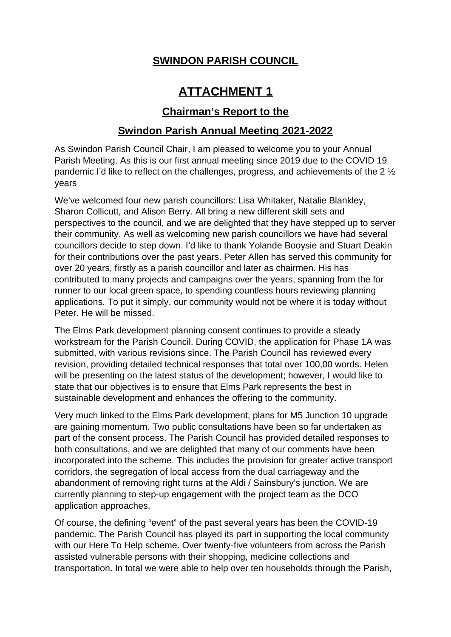# **ATTACHMENT 1**

### **Chairman 's Report to the**

### **Swindon Parish Annual Meeting 2021-2022**

As Swindon Parish Council Chair, I am pleased to welcome you to your Annual Parish Meeting. As this is our first annual meeting since 2019 due to the COVID 19 pandemic I'd like to reflect on the challenges, progress, and achievements of the 2 ½ years

We've welcomed four new parish councillors: Lisa Whitaker, Natalie Blankley, Sharon Collicutt, and Alison Berry. All bring a new different skill sets and perspectives to the council, and we are delighted that they have stepped up to server their community. As well as welcoming new parish councillors we have had several councillors decide to step down. I'd like to thank Yolande Booysie and Stuart Deakin for their contributions over the past years. Peter Allen has served this community for over 20 years, firstly as a parish councillor and later as chairmen. His has contributed to many projects and campaigns over the years, spanning from the for runner to our local green space, to spending countless hours reviewing planning applications. To put it simply, our community would not be where it is today without Peter. He will be missed.

The Elms Park development planning consent continues to provide a steady workstream for the Parish Council. During COVID, the application for Phase 1A was submitted, with various revisions since. The Parish Council has reviewed every revision, providing detailed technical responses that total over 100,00 words. Helen will be presenting on the latest status of the development; however, I would like to state that our objectives is to ensure that Elms Park represents the best in sustainable development and enhances the offering to the community.

Very much linked to the Elms Park development, plans for M5 Junction 10 upgrade are gaining momentum. Two public consultations have been so far undertaken as part of the consent process. The Parish Council has provided detailed responses to both consultations, and we are delighted that many of our comments have been incorporated into the scheme. This includes the provision for greater active transport corridors, the segregation of local access from the dual carriageway and the abandonment of removing right turns at the Aldi / Sainsbury's junction. We are currently planning to step-up engagement with the project team as the DCO application approaches.

Of course, the defining "event" of the past several years has been the COVID-19 pandemic. The Parish Council has played its part in supporting the local community with our Here To Help scheme. Over twenty-five volunteers from across the Parish assisted vulnerable persons with their shopping, medicine collections and transportation. In total we were able to help over ten households through the Parish,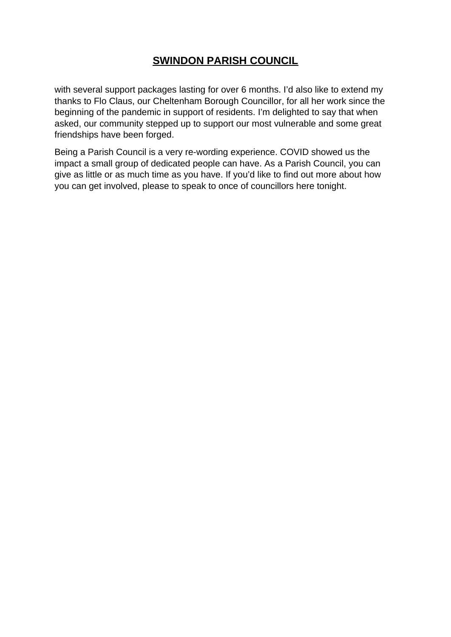with several support packages lasting for over 6 months. I'd also like to extend my thanks to Flo Claus, our Cheltenham Borough Councillor, for all her work since the beginning of the pandemic in support of residents. I'm delighted to say that when asked, our community stepped up to support our most vulnerable and some great friendships have been forged.

Being a Parish Council is a very re-wording experience. COVID showed us the impact a small group of dedicated people can have. As a Parish Council, you can give as little or as much time as you have. If you'd like to find out more about how you can get involved, please to speak to once of councillors here tonight.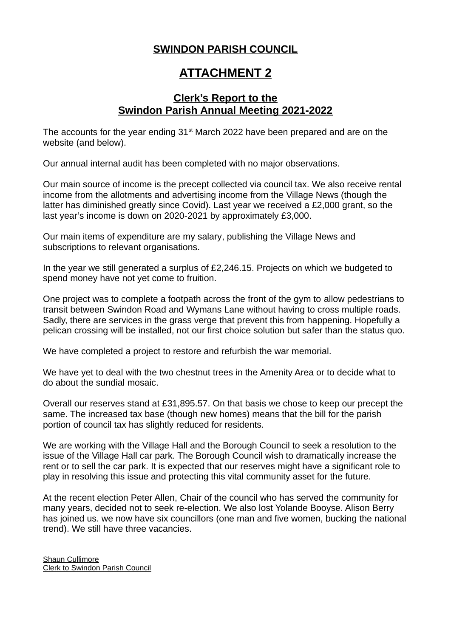## **ATTACHMENT 2**

### **Clerk's Report to the Swindon Parish Annual Meeting 2021-2022**

The accounts for the year ending  $31<sup>st</sup>$  March 2022 have been prepared and are on the website (and below).

Our annual internal audit has been completed with no major observations.

Our main source of income is the precept collected via council tax. We also receive rental income from the allotments and advertising income from the Village News (though the latter has diminished greatly since Covid). Last year we received a £2,000 grant, so the last year's income is down on 2020-2021 by approximately £3,000.

Our main items of expenditure are my salary, publishing the Village News and subscriptions to relevant organisations.

In the year we still generated a surplus of £2,246.15. Projects on which we budgeted to spend money have not yet come to fruition.

One project was to complete a footpath across the front of the gym to allow pedestrians to transit between Swindon Road and Wymans Lane without having to cross multiple roads. Sadly, there are services in the grass verge that prevent this from happening. Hopefully a pelican crossing will be installed, not our first choice solution but safer than the status quo.

We have completed a project to restore and refurbish the war memorial.

We have yet to deal with the two chestnut trees in the Amenity Area or to decide what to do about the sundial mosaic.

Overall our reserves stand at £31,895.57. On that basis we chose to keep our precept the same. The increased tax base (though new homes) means that the bill for the parish portion of council tax has slightly reduced for residents.

We are working with the Village Hall and the Borough Council to seek a resolution to the issue of the Village Hall car park. The Borough Council wish to dramatically increase the rent or to sell the car park. It is expected that our reserves might have a significant role to play in resolving this issue and protecting this vital community asset for the future.

At the recent election Peter Allen, Chair of the council who has served the community for many years, decided not to seek re-election. We also lost Yolande Booyse. Alison Berry has joined us. we now have six councillors (one man and five women, bucking the national trend). We still have three vacancies.

Shaun Cullimore Clerk to Swindon Parish Council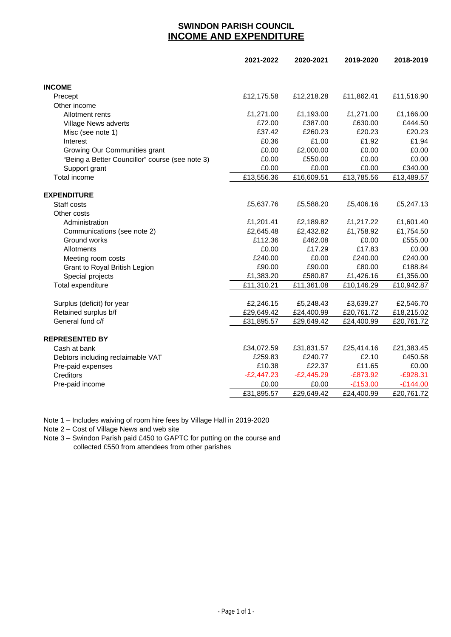### **SWINDON PARISH COUNCIL INCOME AND EXPENDITURE**

|                                                 | 2021-2022    | 2020-2021    | 2019-2020  | 2018-2019  |
|-------------------------------------------------|--------------|--------------|------------|------------|
| <b>INCOME</b>                                   |              |              |            |            |
| Precept                                         | £12,175.58   | £12,218.28   | £11,862.41 | £11,516.90 |
| Other income                                    |              |              |            |            |
| Allotment rents                                 | £1,271.00    | £1,193.00    | £1,271.00  | £1,166.00  |
| Village News adverts                            | £72.00       | £387.00      | £630.00    | £444.50    |
| Misc (see note 1)                               | £37.42       | £260.23      | £20.23     | £20.23     |
| Interest                                        | £0.36        | £1.00        | £1.92      | £1.94      |
| Growing Our Communities grant                   | £0.00        | £2,000.00    | £0.00      | £0.00      |
| "Being a Better Councillor" course (see note 3) | £0.00        | £550.00      | £0.00      | £0.00      |
| Support grant                                   | £0.00        | £0.00        | £0.00      | £340.00    |
| <b>Total income</b>                             | £13,556.36   | £16,609.51   | £13,785.56 | £13,489.57 |
| <b>EXPENDITURE</b>                              |              |              |            |            |
| Staff costs                                     | £5,637.76    | £5,588.20    | £5,406.16  | £5,247.13  |
| Other costs                                     |              |              |            |            |
| Administration                                  | £1,201.41    | £2,189.82    | £1,217.22  | £1,601.40  |
| Communications (see note 2)                     | £2,645.48    | £2,432.82    | £1,758.92  | £1,754.50  |
| Ground works                                    | £112.36      | £462.08      | £0.00      | £555.00    |
| Allotments                                      | £0.00        | £17.29       | £17.83     | £0.00      |
| Meeting room costs                              | £240.00      | £0.00        | £240.00    | £240.00    |
| Grant to Royal British Legion                   | £90.00       | £90.00       | £80.00     | £188.84    |
| Special projects                                | £1,383.20    | £580.87      | £1,426.16  | £1,356.00  |
| Total expenditure                               | £11,310.21   | £11,361.08   | £10,146.29 | £10,942.87 |
| Surplus (deficit) for year                      | £2,246.15    | £5,248.43    | £3,639.27  | £2,546.70  |
| Retained surplus b/f                            | £29,649.42   | £24,400.99   | £20,761.72 | £18,215.02 |
| General fund c/f                                | £31,895.57   | £29,649.42   | £24,400.99 | £20,761.72 |
|                                                 |              |              |            |            |
| <b>REPRESENTED BY</b>                           |              |              |            |            |
| Cash at bank                                    | £34,072.59   | £31,831.57   | £25,414.16 | £21,383.45 |
| Debtors including reclaimable VAT               | £259.83      | £240.77      | £2.10      | £450.58    |
| Pre-paid expenses                               | £10.38       | £22.37       | £11.65     | £0.00      |
| Creditors                                       | $-E2,447.23$ | $-E2,445.29$ | $-E873.92$ | $-E928.31$ |
| Pre-paid income                                 | £0.00        | £0.00        | $-E153.00$ | $-E144.00$ |
|                                                 | £31,895.57   | £29,649.42   | £24,400.99 | £20,761.72 |

Note 1 – Includes waiving of room hire fees by Village Hall in 2019-2020

Note 2 – Cost of Village News and web site

Note 3 – Swindon Parish paid £450 to GAPTC for putting on the course and collected £550 from attendees from other parishes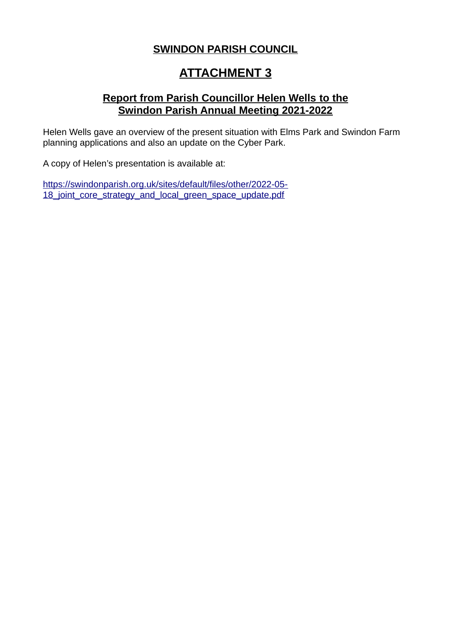# **ATTACHMENT 3**

### **Report from Parish Councillor Helen Wells to the Swindon Parish Annual Meeting 2021-2022**

Helen Wells gave an overview of the present situation with Elms Park and Swindon Farm planning applications and also an update on the Cyber Park.

A copy of Helen's presentation is available at:

https://swindonparish.org.uk/sites/default/files/other/2022-05- 18 joint core strategy and local green space update.pdf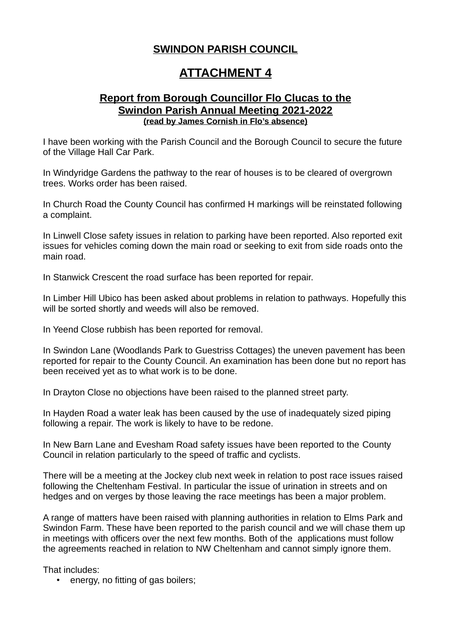# **ATTACHMENT 4**

### **Report from Borough Councillor Flo Clucas to the Swindon Parish Annual Meeting 2021-2022 (read by James Cornish in Flo's absence)**

I have been working with the Parish Council and the Borough Council to secure the future of the Village Hall Car Park.

In Windyridge Gardens the pathway to the rear of houses is to be cleared of overgrown trees. Works order has been raised.

In Church Road the County Council has confirmed H markings will be reinstated following a complaint.

In Linwell Close safety issues in relation to parking have been reported. Also reported exit issues for vehicles coming down the main road or seeking to exit from side roads onto the main road.

In Stanwick Crescent the road surface has been reported for repair.

In Limber Hill Ubico has been asked about problems in relation to pathways. Hopefully this will be sorted shortly and weeds will also be removed.

In Yeend Close rubbish has been reported for removal.

In Swindon Lane (Woodlands Park to Guestriss Cottages) the uneven pavement has been reported for repair to the County Council. An examination has been done but no report has been received yet as to what work is to be done.

In Drayton Close no objections have been raised to the planned street party.

In Hayden Road a water leak has been caused by the use of inadequately sized piping following a repair. The work is likely to have to be redone.

In New Barn Lane and Evesham Road safety issues have been reported to the County Council in relation particularly to the speed of traffic and cyclists.

There will be a meeting at the Jockey club next week in relation to post race issues raised following the Cheltenham Festival. In particular the issue of urination in streets and on hedges and on verges by those leaving the race meetings has been a major problem.

A range of matters have been raised with planning authorities in relation to Elms Park and Swindon Farm. These have been reported to the parish council and we will chase them up in meetings with officers over the next few months. Both of the applications must follow the agreements reached in relation to NW Cheltenham and cannot simply ignore them.

That includes:

• energy, no fitting of gas boilers;